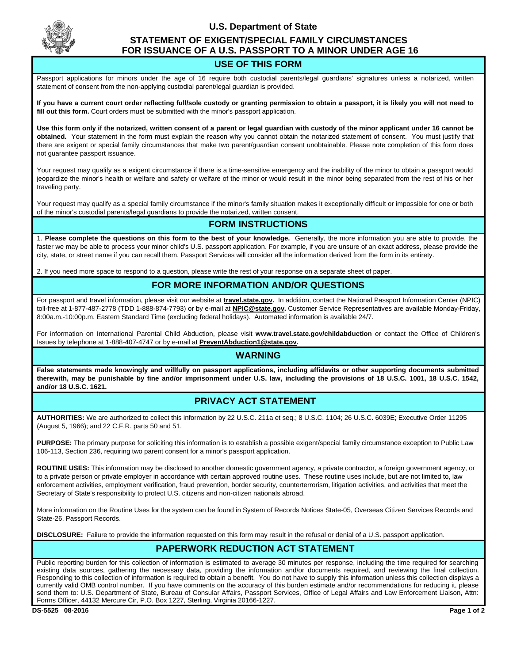

# **U.S. Department of State STATEMENT OF EXIGENT/SPECIAL FAMILY CIRCUMSTANCES FOR ISSUANCE OF A U.S. PASSPORT TO A MINOR UNDER AGE 16**

## **USE OF THIS FORM**

Passport applications for minors under the age of 16 require both custodial parents/legal guardians' signatures unless a notarized, written statement of consent from the non-applying custodial parent/legal guardian is provided.

**If you have a current court order reflecting full/sole custody or granting permission to obtain a passport, it is likely you will not need to fill out this form.** Court orders must be submitted with the minor's passport application.

**Use this form only if the notarized, written consent of a parent or legal guardian with custody of the minor applicant under 16 cannot be obtained.** Your statement in the form must explain the reason why you cannot obtain the notarized statement of consent. You must justify that there are exigent or special family circumstances that make two parent/guardian consent unobtainable. Please note completion of this form does not guarantee passport issuance.

Your request may qualify as a exigent circumstance if there is a time-sensitive emergency and the inability of the minor to obtain a passport would jeopardize the minor's health or welfare and safety or welfare of the minor or would result in the minor being separated from the rest of his or her traveling party.

Your request may qualify as a special family circumstance if the minor's family situation makes it exceptionally difficult or impossible for one or both of the minor's custodial parents/legal guardians to provide the notarized, written consent.

# **FORM INSTRUCTIONS**

1. **Please complete the questions on this form to the best of your knowledge.** Generally, the more information you are able to provide, the faster we may be able to process your minor child's U.S. passport application. For example, if you are unsure of an exact address, please provide the city, state, or street name if you can recall them. Passport Services will consider all the information derived from the form in its entirety.

2. If you need more space to respond to a question, please write the rest of your response on a separate sheet of paper.

### **FOR MORE INFORMATION AND/OR QUESTIONS**

For passport and travel information, please visit our website at **travel.state.gov.** In addition, contact the National Passport Information Center (NPIC) toll-free at 1-877-487-2778 (TDD 1-888-874-7793) or by e-mail at **NPIC@state.gov.** Customer Service Representatives are available Monday-Friday, 8:00a.m.-10:00p.m. Eastern Standard Time (excluding federal holidays). Automated information is available 24/7.

For information on International Parental Child Abduction, please visit **www.travel.state.gov/childabduction** or contact the Office of Children's Issues by telephone at 1-888-407-4747 or by e-mail at **PreventAbduction1@state.gov.**

#### **WARNING**

**False statements made knowingly and willfully on passport applications, including affidavits or other supporting documents submitted therewith, may be punishable by fine and/or imprisonment under U.S. law, including the provisions of 18 U.S.C. 1001, 18 U.S.C. 1542, and/or 18 U.S.C. 1621.**

# **PRIVACY ACT STATEMENT**

**AUTHORITIES:** We are authorized to collect this information by 22 U.S.C. 211a et seq.; 8 U.S.C. 1104; 26 U.S.C. 6039E; Executive Order 11295 (August 5, 1966); and 22 C.F.R. parts 50 and 51.

**PURPOSE:** The primary purpose for soliciting this information is to establish a possible exigent/special family circumstance exception to Public Law 106-113, Section 236, requiring two parent consent for a minor's passport application.

**ROUTINE USES:** This information may be disclosed to another domestic government agency, a private contractor, a foreign government agency, or to a private person or private employer in accordance with certain approved routine uses. These routine uses include, but are not limited to, law enforcement activities, employment verification, fraud prevention, border security, counterterrorism, litigation activities, and activities that meet the Secretary of State's responsibility to protect U.S. citizens and non-citizen nationals abroad.

More information on the Routine Uses for the system can be found in System of Records Notices State-05, Overseas Citizen Services Records and State-26, Passport Records.

**DISCLOSURE:** Failure to provide the information requested on this form may result in the refusal or denial of a U.S. passport application.

### **PAPERWORK REDUCTION ACT STATEMENT**

Public reporting burden for this collection of information is estimated to average 30 minutes per response, including the time required for searching existing data sources, gathering the necessary data, providing the information and/or documents required, and reviewing the final collection. Responding to this collection of information is required to obtain a benefit. You do not have to supply this information unless this collection displays a currently valid OMB control number. If you have comments on the accuracy of this burden estimate and/or recommendations for reducing it, please send them to: U.S. Department of State, Bureau of Consular Affairs, Passport Services, Office of Legal Affairs and Law Enforcement Liaison, Attn: Forms Officer, 44132 Mercure Cir, P.O. Box 1227, Sterling, Virginia 20166-1227.